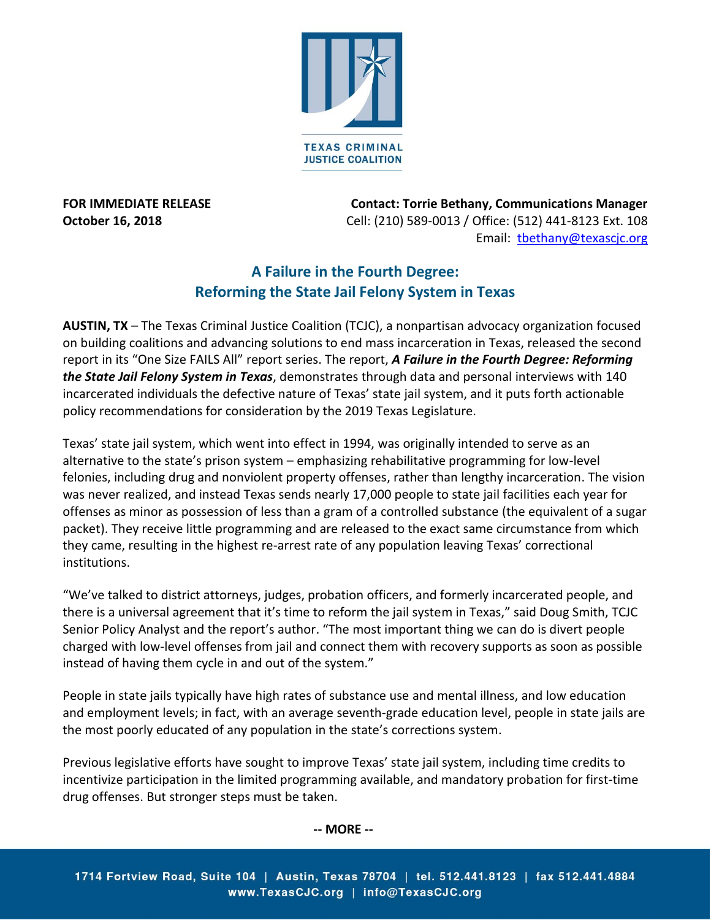

**FOR IMMEDIATE RELEASE Contact: Torrie Bethany, Communications Manager October 16, 2018** Cell: (210) 589-0013 / Office: (512) 441-8123 Ext. 108 Email: [tbethany@texascjc.org](mailto:tbethany@texascjc.org)

## **A Failure in the Fourth Degree: Reforming the State Jail Felony System in Texas**

**AUSTIN, TX** – The Texas Criminal Justice Coalition (TCJC), a nonpartisan advocacy organization focused on building coalitions and advancing solutions to end mass incarceration in Texas, released the second report in its "One Size FAILS All" report series. The report, *A Failure in the Fourth Degree: Reforming the State Jail Felony System in Texas*, demonstrates through data and personal interviews with 140 incarcerated individuals the defective nature of Texas' state jail system, and it puts forth actionable policy recommendations for consideration by the 2019 Texas Legislature.

Texas' state jail system, which went into effect in 1994, was originally intended to serve as an alternative to the state's prison system – emphasizing rehabilitative programming for low-level felonies, including drug and nonviolent property offenses, rather than lengthy incarceration. The vision was never realized, and instead Texas sends nearly 17,000 people to state jail facilities each year for offenses as minor as possession of less than a gram of a controlled substance (the equivalent of a sugar packet). They receive little programming and are released to the exact same circumstance from which they came, resulting in the highest re-arrest rate of any population leaving Texas' correctional institutions.

"We've talked to district attorneys, judges, probation officers, and formerly incarcerated people, and there is a universal agreement that it's time to reform the jail system in Texas," said Doug Smith, TCJC Senior Policy Analyst and the report's author. "The most important thing we can do is divert people charged with low-level offenses from jail and connect them with recovery supports as soon as possible instead of having them cycle in and out of the system."

People in state jails typically have high rates of substance use and mental illness, and low education and employment levels; in fact, with an average seventh-grade education level, people in state jails are the most poorly educated of any population in the state's corrections system.

Previous legislative efforts have sought to improve Texas' state jail system, including time credits to incentivize participation in the limited programming available, and mandatory probation for first-time drug offenses. But stronger steps must be taken.

**-- MORE --**

1714 Fortview Road, Suite 104 | Austin, Texas 78704 | tel. 512.441.8123 | fax 512.441.4884 www.TexasCJC.org | info@TexasCJC.org